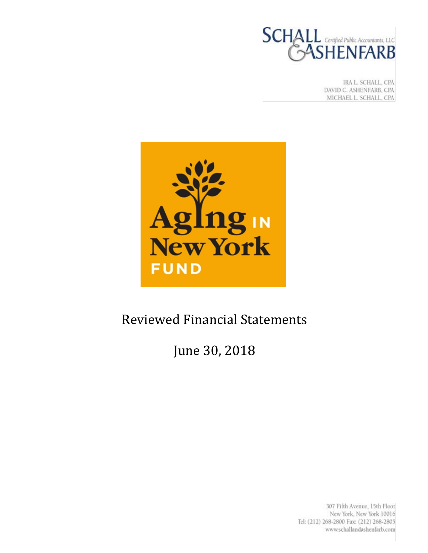

IRA L. SCHALL, CPA DAVID C. ASHENFARB, CPA MICHAEL L. SCHALL, CPA



# Reviewed Financial Statements

# June 30, 2018

307 Fifth Avenue, 15th Floor New York, New York 10016 Tel: (212) 268-2800 Fax: (212) 268-2805 www.schallandashenfarb.com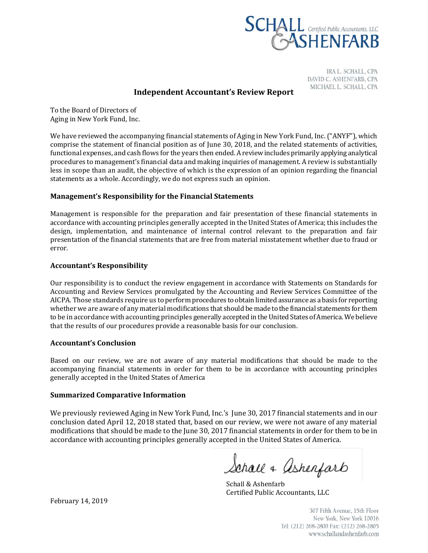

IRA L. SCHALL, CPA DAVID C. ASHENFARB, CPA MICHAEL L. SCHALL, CPA

## **Independent Accountant's Review Report**

To the Board of Directors of Aging in New York Fund, Inc.

We have reviewed the accompanying financial statements of Aging in New York Fund, Inc. ("ANYF"), which comprise the statement of financial position as of June 30, 2018, and the related statements of activities, functional expenses, and cash flows for the years then ended. A review includes primarily applying analytical procedures to management's financial data and making inquiries of management. A review is substantially less in scope than an audit, the objective of which is the expression of an opinion regarding the financial statements as a whole. Accordingly, we do not express such an opinion.

## **Management's Responsibility for the Financial Statements**

Management is responsible for the preparation and fair presentation of these financial statements in accordance with accounting principles generally accepted in the United States of America; this includes the design, implementation, and maintenance of internal control relevant to the preparation and fair presentation of the financial statements that are free from material misstatement whether due to fraud or error.

### **Accountant's Responsibility**

Our responsibility is to conduct the review engagement in accordance with Statements on Standards for Accounting and Review Services promulgated by the Accounting and Review Services Committee of the AICPA. Those standards require us to perform procedures to obtain limited assurance as a basis for reporting whether we are aware of any material modifications that should be made to the financial statements for them to be in accordance with accounting principles generally accepted in the United States of America. We believe that the results of our procedures provide a reasonable basis for our conclusion.

#### **Accountant's Conclusion**

Based on our review, we are not aware of any material modifications that should be made to the accompanying financial statements in order for them to be in accordance with accounting principles generally accepted in the United States of America

#### **Summarized Comparative Information**

We previously reviewed Aging in New York Fund, Inc.'s June 30, 2017 financial statements and in our conclusion dated April 12, 2018 stated that, based on our review, we were not aware of any material modifications that should be made to the June 30, 2017 financial statements in order for them to be in accordance with accounting principles generally accepted in the United States of America.

Schall + Ashenfarb

Schall & Ashenfarb Certified Public Accountants, LLC

307 Fifth Avenue, 15th Floor New York, New York 10016 Tel: (212) 268-2800 Fax: (212) 268-2805 www.schallandashenfarb.com

February 14, 2019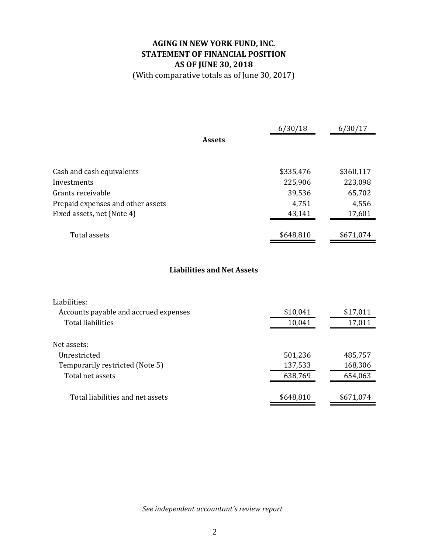# **AGING IN NEW YORK FUND, INC. STATEMENT OF FINANCIAL POSITION AS OF JUNE 30, 2018**

(With comparative totals as of June 30, 2017)

|                                   | 6/30/18   | 6/30/17   |
|-----------------------------------|-----------|-----------|
| <b>Assets</b>                     |           |           |
|                                   |           |           |
| Cash and cash equivalents         | \$335,476 | \$360,117 |
| Investments                       | 225,906   | 223,098   |
| Grants receivable                 | 39,536    | 65,702    |
| Prepaid expenses and other assets | 4,751     | 4,556     |
| Fixed assets, net (Note 4)        | 43,141    | 17,601    |
| Total assets                      | \$648,810 | \$671,074 |

# **Liabilities and Net Assets**

| Liabilities:                          |           |           |
|---------------------------------------|-----------|-----------|
| Accounts payable and accrued expenses | \$10,041  | \$17,011  |
| Total liabilities                     | 10,041    | 17,011    |
|                                       |           |           |
| Net assets:                           |           |           |
| <i><u><b>I</b>Inrestricted</u></i>    | 501,236   | 485,757   |
| Temporarily restricted (Note 5)       | 137,533   | 168,306   |
| Total net assets                      | 638,769   | 654,063   |
|                                       |           |           |
| Total liabilities and net assets      | \$648,810 | \$671,074 |
|                                       |           |           |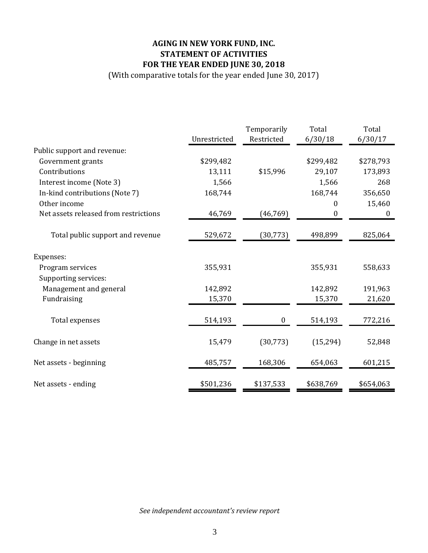# **AGING IN NEW YORK FUND, INC. STATEMENT OF ACTIVITIES FOR THE YEAR ENDED JUNE 30, 2018**

(With comparative totals for the year ended June 30, 2017)

|                                       |              | Temporarily      | Total            | Total            |
|---------------------------------------|--------------|------------------|------------------|------------------|
|                                       | Unrestricted | Restricted       | 6/30/18          | 6/30/17          |
| Public support and revenue:           |              |                  |                  |                  |
| Government grants                     | \$299,482    |                  | \$299,482        | \$278,793        |
| Contributions                         | 13,111       | \$15,996         | 29,107           | 173,893          |
| Interest income (Note 3)              | 1,566        |                  | 1,566            | 268              |
| In-kind contributions (Note 7)        | 168,744      |                  | 168,744          | 356,650          |
| Other income                          |              |                  | 0                | 15,460           |
| Net assets released from restrictions | 46,769       | (46, 769)        | $\boldsymbol{0}$ | $\boldsymbol{0}$ |
| Total public support and revenue      | 529,672      | (30, 773)        | 498,899          | 825,064          |
| Expenses:                             |              |                  |                  |                  |
| Program services                      | 355,931      |                  | 355,931          | 558,633          |
| Supporting services:                  |              |                  |                  |                  |
| Management and general                | 142,892      |                  | 142,892          | 191,963          |
| Fundraising                           | 15,370       |                  | 15,370           | 21,620           |
| Total expenses                        | 514,193      | $\boldsymbol{0}$ | 514,193          | 772,216          |
| Change in net assets                  | 15,479       | (30, 773)        | (15, 294)        | 52,848           |
| Net assets - beginning                | 485,757      | 168,306          | 654,063          | 601,215          |
| Net assets - ending                   | \$501,236    | \$137,533        | \$638,769        | \$654,063        |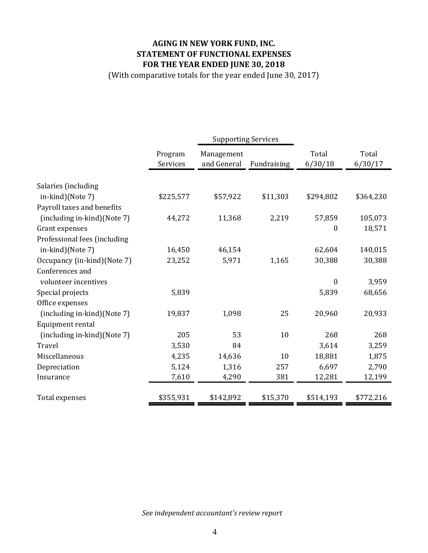# **AGING IN NEW YORK FUND, INC. STATEMENT OF FUNCTIONAL EXPENSES FOR THE YEAR ENDED JUNE 30, 2018**

(With comparative totals for the year ended June 30, 2017)

|                              |                     | <b>Supporting Services</b> |             |                  |                  |
|------------------------------|---------------------|----------------------------|-------------|------------------|------------------|
|                              | Program<br>Services | Management<br>and General  | Fundraising | Total<br>6/30/18 | Total<br>6/30/17 |
| Salaries (including          |                     |                            |             |                  |                  |
| in-kind)(Note 7)             | \$225,577           | \$57,922                   | \$11,303    | \$294,802        | \$364,230        |
| Payroll taxes and benefits   |                     |                            |             |                  |                  |
| (including in-kind)(Note 7)  | 44,272              | 11,368                     | 2,219       | 57,859           | 105,073          |
| Grant expenses               |                     |                            |             | $\boldsymbol{0}$ | 18,571           |
| Professional fees (including |                     |                            |             |                  |                  |
| in-kind)(Note 7)             | 16,450              | 46,154                     |             | 62,604           | 140,015          |
| Occupancy (in-kind) (Note 7) | 23,252              | 5,971                      | 1,165       | 30,388           | 30,388           |
| Conferences and              |                     |                            |             |                  |                  |
| volunteer incentives         |                     |                            |             | $\boldsymbol{0}$ | 3,959            |
| Special projects             | 5,839               |                            |             | 5,839            | 68,656           |
| Office expenses              |                     |                            |             |                  |                  |
| (including in-kind)(Note 7)  | 19,837              | 1,098                      | 25          | 20,960           | 20,933           |
| Equipment rental             |                     |                            |             |                  |                  |
| (including in-kind)(Note 7)  | 205                 | 53                         | 10          | 268              | 268              |
| Travel                       | 3,530               | 84                         |             | 3,614            | 3,259            |
| Miscellaneous                | 4,235               | 14,636                     | 10          | 18,881           | 1,875            |
| Depreciation                 | 5,124               | 1,316                      | 257         | 6,697            | 2,790            |
| Insurance                    | 7,610               | 4,290                      | 381         | 12,281           | 12,199           |
| Total expenses               | \$355,931           | \$142,892                  | \$15,370    | \$514,193        | \$772,216        |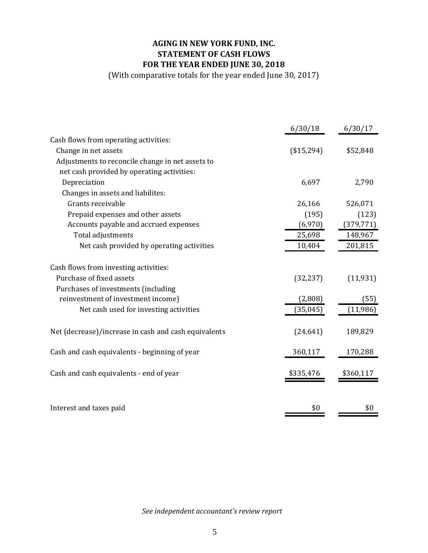# **AGING IN NEW YORK FUND, INC. STATEMENT OF CASH FLOWS FOR THE YEAR ENDED JUNE 30, 2018**

(With comparative totals for the year ended June 30, 2017)

|                                                      | 6/30/18    | 6/30/17    |
|------------------------------------------------------|------------|------------|
| Cash flows from operating activities:                |            |            |
| Change in net assets                                 | (\$15,294) | \$52,848   |
| Adjustments to reconcile change in net assets to     |            |            |
| net cash provided by operating activities:           |            |            |
| Depreciation                                         | 6,697      | 2,790      |
| Changes in assets and liabilites:                    |            |            |
| Grants receivable                                    | 26,166     | 526,071    |
| Prepaid expenses and other assets                    | (195)      | (123)      |
| Accounts payable and accrued expenses                | (6,970)    | (379, 771) |
| Total adjustments                                    | 25,698     | 148,967    |
| Net cash provided by operating activities            | 10,404     | 201,815    |
| Cash flows from investing activities:                |            |            |
| Purchase of fixed assets                             | (32, 237)  | (11, 931)  |
| Purchases of investments (including                  |            |            |
| reinvestment of investment income)                   | (2,808)    | (55)       |
| Net cash used for investing activities               | (35, 045)  | (11, 986)  |
| Net (decrease)/increase in cash and cash equivalents | (24, 641)  | 189,829    |
| Cash and cash equivalents - beginning of year        | 360,117    | 170,288    |
| Cash and cash equivalents - end of year              | \$335,476  | \$360,117  |
|                                                      |            |            |
| Interest and taxes paid                              | \$0        | \$0        |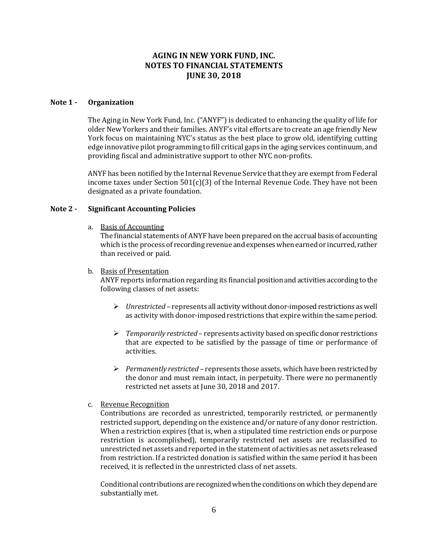## **AGING IN NEW YORK FUND, INC. NOTES TO FINANCIAL STATEMENTS JUNE 30, 2018**

#### **Note 1 - Organization**

The Aging in New York Fund, Inc. ("ANYF") is dedicated to enhancing the quality of life for older New Yorkers and their families. ANYF's vital efforts are to create an age friendly New York focus on maintaining NYC's status as the best place to grow old, identifying cutting edge innovative pilot programming to fill critical gaps in the aging services continuum, and providing fiscal and administrative support to other NYC non-profits.

ANYF has been notified by the Internal Revenue Service that they are exempt from Federal income taxes under Section  $501(c)(3)$  of the Internal Revenue Code. They have not been designated as a private foundation.

#### **Note 2 - Significant Accounting Policies**

a. Basis of Accounting

The financial statements of ANYF have been prepared on the accrual basis of accounting which is the process of recording revenue and expenses when earned or incurred, rather than received or paid.

b. Basis of Presentation

ANYF reports information regarding its financial position and activities according to the following classes of net assets:

- *Unrestricted*  represents all activity without donor-imposedrestrictions as well as activity with donor-imposed restrictions that expire within the same period.
- *Temporarily restricted* represents activity based on specific donor restrictions that are expected to be satisfied by the passage of time or performance of activities.
- *Permanently restricted*  represents those assets, which have been restricted by the donor and must remain intact, in perpetuity. There were no permanently restricted net assets at June 30, 2018 and 2017.
- c. Revenue Recognition

Contributions are recorded as unrestricted, temporarily restricted, or permanently restricted support, depending on the existence and/or nature of any donor restriction. When a restriction expires (that is, when a stipulated time restriction ends or purpose restriction is accomplished), temporarily restricted net assets are reclassified to unrestricted net assets and reported in the statement of activities as net assets released from restriction. If a restricted donation is satisfied within the same period it has been received, it is reflected in the unrestricted class of net assets.

Conditional contributions are recognized when the conditions on which they depend are substantially met.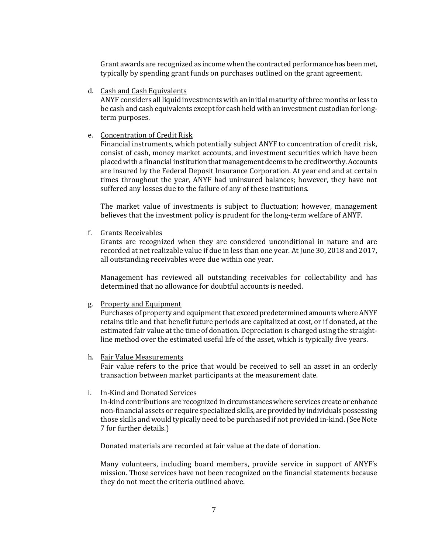Grant awards are recognized as income when the contracted performance has been met, typically by spending grant funds on purchases outlined on the grant agreement.

d. Cash and Cash Equivalents

ANYF considers all liquid investments with an initial maturity of three months or less to be cash and cash equivalents except for cash held with an investment custodian for longterm purposes.

e. Concentration of Credit Risk

Financial instruments, which potentially subject ANYF to concentration of credit risk, consist of cash, money market accounts, and investment securities which have been placed with a financial institution that management deems to be creditworthy. Accounts are insured by the Federal Deposit Insurance Corporation. At year end and at certain times throughout the year, ANYF had uninsured balances; however, they have not suffered any losses due to the failure of any of these institutions.

The market value of investments is subject to fluctuation; however, management believes that the investment policy is prudent for the long-term welfare of ANYF.

f. Grants Receivables

Grants are recognized when they are considered unconditional in nature and are recorded at net realizable value if due in less than one year. At June 30, 2018 and 2017, all outstanding receivables were due within one year.

Management has reviewed all outstanding receivables for collectability and has determined that no allowance for doubtful accounts is needed.

g. Property and Equipment

Purchases of property and equipment that exceed predetermined amounts where ANYF retains title and that benefit future periods are capitalized at cost, or if donated, at the estimated fair value at the time of donation. Depreciation is charged using the straightline method over the estimated useful life of the asset, which is typically five years.

h. Fair Value Measurements

Fair value refers to the price that would be received to sell an asset in an orderly transaction between market participants at the measurement date.

i. In-Kind and Donated Services

In-kind contributions are recognized in circumstances where services create or enhance non-financial assets or require specialized skills, are provided by individuals possessing those skills and would typically need to be purchased if not provided in-kind.(See Note 7 for further details.)

Donated materials are recorded at fair value at the date of donation.

Many volunteers, including board members, provide service in support of ANYF's mission. Those services have not been recognized on the financial statements because they do not meet the criteria outlined above.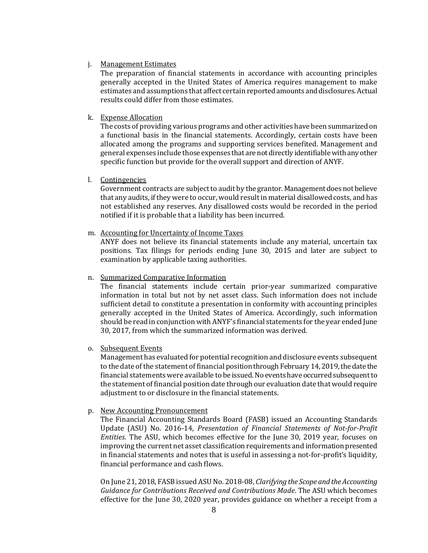#### j. Management Estimates

The preparation of financial statements in accordance with accounting principles generally accepted in the United States of America requires management to make estimates and assumptions that affect certain reported amounts and disclosures. Actual results could differ from those estimates.

#### k. Expense Allocation

The costs of providing various programs and other activities have been summarized on a functional basis in the financial statements. Accordingly, certain costs have been allocated among the programs and supporting services benefited. Management and general expenses include those expenses that are not directly identifiable with any other specific function but provide for the overall support and direction of ANYF.

#### l. Contingencies

Government contracts are subject to audit by the grantor. Management does not believe that any audits, if they were to occur, would result in material disallowed costs, and has not established any reserves. Any disallowed costs would be recorded in the period notified if it is probable that a liability has been incurred.

#### m. Accounting for Uncertainty of Income Taxes

ANYF does not believe its financial statements include any material, uncertain tax positions. Tax filings for periods ending June 30, 2015 and later are subject to examination by applicable taxing authorities.

#### n. Summarized Comparative Information

The financial statements include certain prior-year summarized comparative information in total but not by net asset class. Such information does not include sufficient detail to constitute a presentation in conformity with accounting principles generally accepted in the United States of America. Accordingly, such information should be read in conjunction with ANYF's financial statements for the year ended June 30, 2017, from which the summarized information was derived.

#### o. Subsequent Events

Management has evaluated for potential recognition and disclosure events subsequent to the date of the statement of financial position through February 14, 2019, the date the financial statements were available to be issued. No events have occurred subsequent to the statement of financial position date through our evaluation date that would require adjustment to or disclosure in the financial statements.

#### p. New Accounting Pronouncement

The Financial Accounting Standards Board (FASB) issued an Accounting Standards Update (ASU) No. 2016-14, *Presentation of Financial Statements of Not-for-Profit Entities*. The ASU, which becomes effective for the June 30, 2019 year, focuses on improving the current net asset classification requirements and information presented in financial statements and notes that is useful in assessing a not-for-profit's liquidity, financial performance and cash flows.

On June 21, 2018[, FASB](http://www.fasb.org/home) issue[d ASUN](https://www.fasb.org/cs/Satellite?c=Document_C&cid=1176170810258&pagename=FASB%2FDocument_C%2FDocumentPage)o. 2018-08, *Clarifying the Scope and the Accounting Guidance for Contributions Received and Contributions Made*. The ASU which becomes effective for the June 30, 2020 year, provides guidance on whether a receipt from a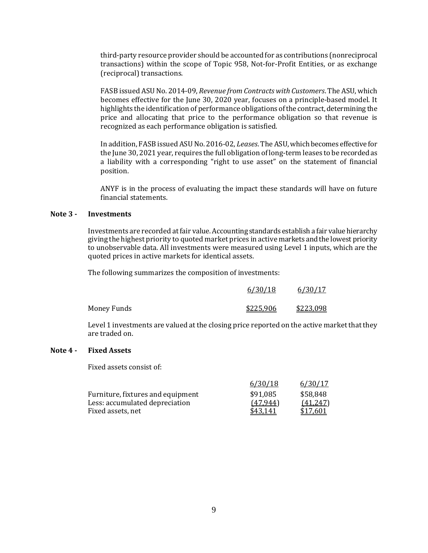third-party resource provider should be accounted for as contributions (nonreciprocal transactions) within the scope of Topic 958, Not-for-Profit Entities, or as exchange (reciprocal) transactions.

FASB issued ASU No. 2014-09, *Revenue from Contracts with Customers*. The ASU, which becomes effective for the June 30, 2020 year, focuses on a principle-based model. It highlights the identification of performance obligations of the contract, determining the price and allocating that price to the performance obligation so that revenue is recognized as each performance obligation is satisfied.

In addition, FASB issued ASU No. 2016-02, *Leases*. The ASU, which becomes effective for the June 30, 2021 year, requires the full obligation of long-term leases to be recorded as a liability with a corresponding "right to use asset" on the statement of financial position.

ANYF is in the process of evaluating the impact these standards will have on future financial statements.

#### **Note 3 - Investments**

Investments are recorded at fair value. Accounting standards establish a fair value hierarchy giving the highest priority to quoted market prices in active markets and the lowest priority to unobservable data. All investments were measured using Level 1 inputs, which are the quoted prices in active markets for identical assets.

The following summarizes the composition of investments:

|                    | 6/30/18   | 6/30/17   |
|--------------------|-----------|-----------|
| <b>Money Funds</b> | \$225,906 | \$223,098 |

Level 1 investments are valued at the closing price reported on the active market that they are traded on.

#### **Note 4 - Fixed Assets**

Fixed assets consist of:

|           | 6/30/17  |
|-----------|----------|
| \$91,085  | \$58,848 |
| (47, 944) | (41,247) |
| \$43.141  | \$17.601 |
|           | 6/30/18  |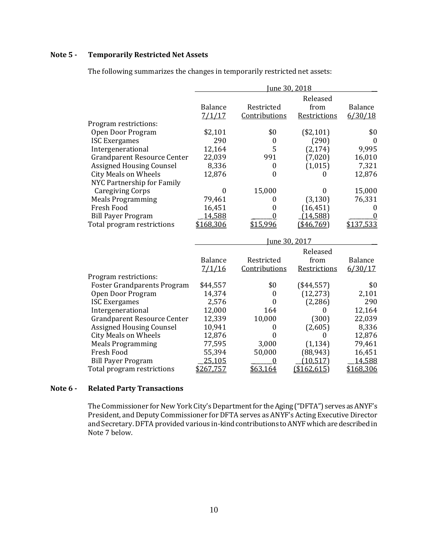## **Note 5 - Temporarily Restricted Net Assets**

| June 30, 2018    |                  |               |                                           |
|------------------|------------------|---------------|-------------------------------------------|
|                  |                  | Released      |                                           |
| <b>Balance</b>   | Restricted       | from          | <b>Balance</b>                            |
| 7/1/17           | Contributions    | Restrictions  | 6/30/18                                   |
|                  |                  |               |                                           |
| \$2,101          | \$0              | (\$2,101)     | \$0                                       |
| 290              | $\boldsymbol{0}$ | (290)         | $\theta$                                  |
| 12,164           | 5                | (2, 174)      | 9,995                                     |
| 22,039           | 991              | (7,020)       | 16,010                                    |
| 8,336            | 0                | (1,015)       | 7,321                                     |
| 12,876           | $\boldsymbol{0}$ | $\mathbf{0}$  | 12,876                                    |
|                  |                  |               |                                           |
| $\boldsymbol{0}$ | 15,000           | 0             | 15,000                                    |
| 79,461           | 0                | (3, 130)      | 76,331                                    |
| 16,451           | 0                | (16, 451)     | $\theta$                                  |
| 14,588           | $\theta$         | (14, 588)     | 0                                         |
| \$168,306        | \$15,996         | (\$46,769)    | \$137,533                                 |
|                  |                  |               |                                           |
|                  |                  |               |                                           |
| <b>Balance</b>   | Restricted       | from          | Balance                                   |
|                  |                  |               | 6/30/17                                   |
|                  |                  |               |                                           |
| \$44,557         | \$0              | (\$44,557)    | \$0                                       |
| 14,374           | 0                | (12, 273)     | 2,101                                     |
| 2,576            | $\theta$         | (2,286)       | 290                                       |
| 12,000           | 164              | 0             | 12,164                                    |
| 12,339           | 10,000           | (300)         | 22,039                                    |
| 10,941           | $\theta$         | (2,605)       | 8,336                                     |
| 12,876           | $\boldsymbol{0}$ | 0             | 12,876                                    |
| 77,595           | 3,000            | (1, 134)      | 79,461                                    |
| 55,394           | 50,000           | (88, 943)     | 16,451                                    |
| 25,105           | $\mathbf{0}$     | (10, 517)     | 14,588                                    |
| \$267,757        | \$63,164         | (\$162,615)   | \$168,306                                 |
|                  | 7/1/16           | Contributions | June 30, 2017<br>Released<br>Restrictions |

The following summarizes the changes in temporarily restricted net assets:

#### **Note 6 - Related Party Transactions**

The Commissioner for New York City's Department for the Aging ("DFTA") serves as ANYF's President, and Deputy Commissioner for DFTA serves as ANYF's Acting Executive Director and Secretary. DFTA provided various in-kind contributions to ANYFwhich are described in Note 7 below.